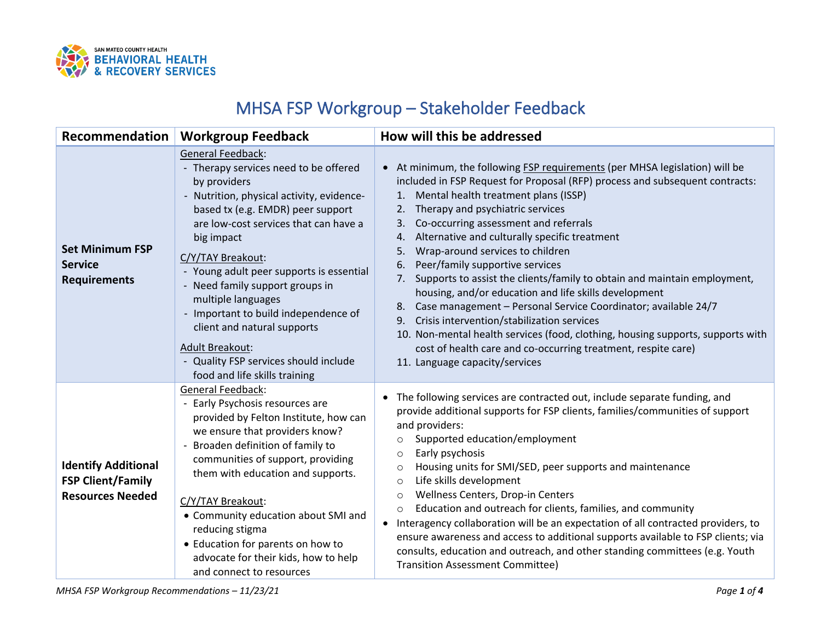

## MHSA FSP Workgroup – Stakeholder Feedback

| Recommendation                                                                    | <b>Workgroup Feedback</b>                                                                                                                                                                                                                                                                                                                                                                                                                                                                                                       | How will this be addressed                                                                                                                                                                                                                                                                                                                                                                                                                                                                                                                                                                                                                                                                                                                                                                                                                                                                                                 |
|-----------------------------------------------------------------------------------|---------------------------------------------------------------------------------------------------------------------------------------------------------------------------------------------------------------------------------------------------------------------------------------------------------------------------------------------------------------------------------------------------------------------------------------------------------------------------------------------------------------------------------|----------------------------------------------------------------------------------------------------------------------------------------------------------------------------------------------------------------------------------------------------------------------------------------------------------------------------------------------------------------------------------------------------------------------------------------------------------------------------------------------------------------------------------------------------------------------------------------------------------------------------------------------------------------------------------------------------------------------------------------------------------------------------------------------------------------------------------------------------------------------------------------------------------------------------|
| <b>Set Minimum FSP</b><br><b>Service</b><br><b>Requirements</b>                   | <b>General Feedback:</b><br>- Therapy services need to be offered<br>by providers<br>- Nutrition, physical activity, evidence-<br>based tx (e.g. EMDR) peer support<br>are low-cost services that can have a<br>big impact<br>C/Y/TAY Breakout:<br>- Young adult peer supports is essential<br>- Need family support groups in<br>multiple languages<br>- Important to build independence of<br>client and natural supports<br><b>Adult Breakout:</b><br>- Quality FSP services should include<br>food and life skills training | At minimum, the following FSP requirements (per MHSA legislation) will be<br>$\bullet$<br>included in FSP Request for Proposal (RFP) process and subsequent contracts:<br>Mental health treatment plans (ISSP)<br>$\mathbf{1}$ .<br>Therapy and psychiatric services<br>Co-occurring assessment and referrals<br>3.<br>Alternative and culturally specific treatment<br>4.<br>Wrap-around services to children<br>5.<br>Peer/family supportive services<br>6.<br>Supports to assist the clients/family to obtain and maintain employment,<br>7.<br>housing, and/or education and life skills development<br>Case management - Personal Service Coordinator; available 24/7<br>8.<br>Crisis intervention/stabilization services<br>9.<br>10. Non-mental health services (food, clothing, housing supports, supports with<br>cost of health care and co-occurring treatment, respite care)<br>11. Language capacity/services |
| <b>Identify Additional</b><br><b>FSP Client/Family</b><br><b>Resources Needed</b> | General Feedback:<br>- Early Psychosis resources are<br>provided by Felton Institute, how can<br>we ensure that providers know?<br>- Broaden definition of family to<br>communities of support, providing<br>them with education and supports.<br>C/Y/TAY Breakout:<br>• Community education about SMI and<br>reducing stigma<br>• Education for parents on how to<br>advocate for their kids, how to help<br>and connect to resources                                                                                          | The following services are contracted out, include separate funding, and<br>$\bullet$<br>provide additional supports for FSP clients, families/communities of support<br>and providers:<br>Supported education/employment<br>$\circ$<br>Early psychosis<br>$\circ$<br>Housing units for SMI/SED, peer supports and maintenance<br>$\circ$<br>Life skills development<br>$\circ$<br>Wellness Centers, Drop-in Centers<br>$\circ$<br>Education and outreach for clients, families, and community<br>$\circ$<br>• Interagency collaboration will be an expectation of all contracted providers, to<br>ensure awareness and access to additional supports available to FSP clients; via<br>consults, education and outreach, and other standing committees (e.g. Youth<br><b>Transition Assessment Committee)</b>                                                                                                              |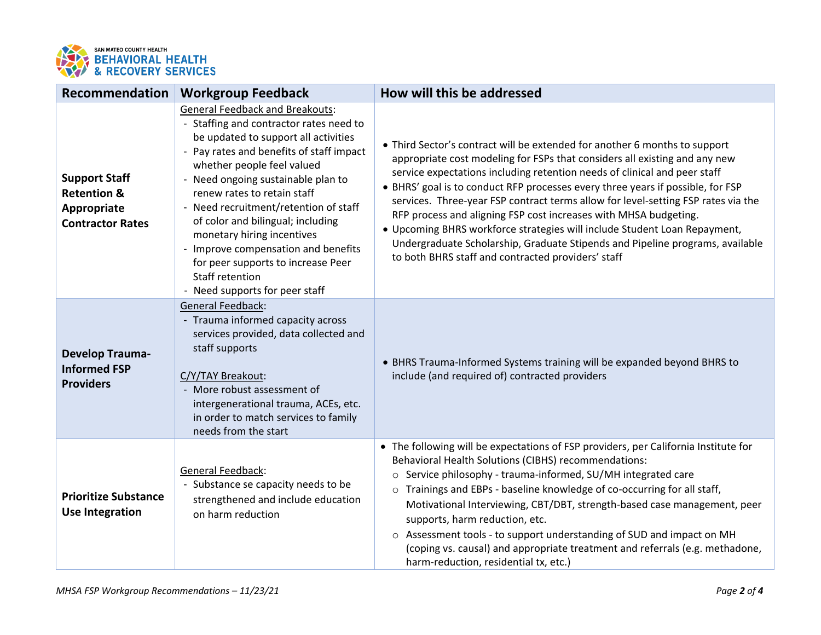

| <b>Recommendation</b>                                                                    | <b>Workgroup Feedback</b>                                                                                                                                                                                                                                                                                                                                                                                                                                                                                              | How will this be addressed                                                                                                                                                                                                                                                                                                                                                                                                                                                                                                                                                                                                                                                                            |
|------------------------------------------------------------------------------------------|------------------------------------------------------------------------------------------------------------------------------------------------------------------------------------------------------------------------------------------------------------------------------------------------------------------------------------------------------------------------------------------------------------------------------------------------------------------------------------------------------------------------|-------------------------------------------------------------------------------------------------------------------------------------------------------------------------------------------------------------------------------------------------------------------------------------------------------------------------------------------------------------------------------------------------------------------------------------------------------------------------------------------------------------------------------------------------------------------------------------------------------------------------------------------------------------------------------------------------------|
| <b>Support Staff</b><br><b>Retention &amp;</b><br>Appropriate<br><b>Contractor Rates</b> | <b>General Feedback and Breakouts:</b><br>- Staffing and contractor rates need to<br>be updated to support all activities<br>- Pay rates and benefits of staff impact<br>whether people feel valued<br>- Need ongoing sustainable plan to<br>renew rates to retain staff<br>- Need recruitment/retention of staff<br>of color and bilingual; including<br>monetary hiring incentives<br>- Improve compensation and benefits<br>for peer supports to increase Peer<br>Staff retention<br>- Need supports for peer staff | • Third Sector's contract will be extended for another 6 months to support<br>appropriate cost modeling for FSPs that considers all existing and any new<br>service expectations including retention needs of clinical and peer staff<br>• BHRS' goal is to conduct RFP processes every three years if possible, for FSP<br>services. Three-year FSP contract terms allow for level-setting FSP rates via the<br>RFP process and aligning FSP cost increases with MHSA budgeting.<br>• Upcoming BHRS workforce strategies will include Student Loan Repayment,<br>Undergraduate Scholarship, Graduate Stipends and Pipeline programs, available<br>to both BHRS staff and contracted providers' staff |
| <b>Develop Trauma-</b><br><b>Informed FSP</b><br><b>Providers</b>                        | General Feedback:<br>- Trauma informed capacity across<br>services provided, data collected and<br>staff supports<br>C/Y/TAY Breakout:<br>- More robust assessment of<br>intergenerational trauma, ACEs, etc.<br>in order to match services to family<br>needs from the start                                                                                                                                                                                                                                          | • BHRS Trauma-Informed Systems training will be expanded beyond BHRS to<br>include (and required of) contracted providers                                                                                                                                                                                                                                                                                                                                                                                                                                                                                                                                                                             |
| <b>Prioritize Substance</b><br><b>Use Integration</b>                                    | General Feedback:<br>- Substance se capacity needs to be<br>strengthened and include education<br>on harm reduction                                                                                                                                                                                                                                                                                                                                                                                                    | • The following will be expectations of FSP providers, per California Institute for<br>Behavioral Health Solutions (CIBHS) recommendations:<br>Service philosophy - trauma-informed, SU/MH integrated care<br>$\circ$<br>o Trainings and EBPs - baseline knowledge of co-occurring for all staff,<br>Motivational Interviewing, CBT/DBT, strength-based case management, peer<br>supports, harm reduction, etc.<br>o Assessment tools - to support understanding of SUD and impact on MH<br>(coping vs. causal) and appropriate treatment and referrals (e.g. methadone,<br>harm-reduction, residential tx, etc.)                                                                                     |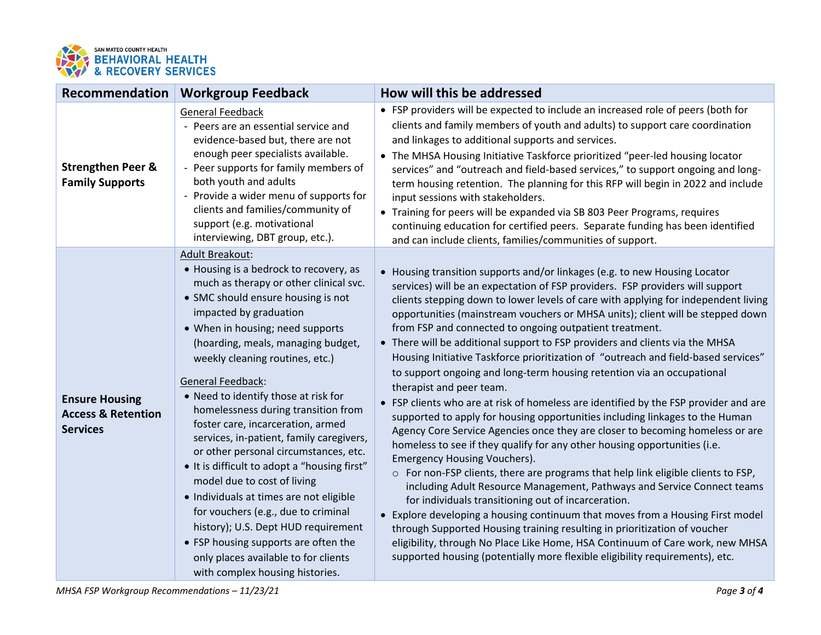

| Recommendation                                                            | <b>Workgroup Feedback</b>                                                                                                                                                                                                                                                                                                                                                                                                                                                                                                                                                                                                                                                                                                                                                                                                                        | How will this be addressed                                                                                                                                                                                                                                                                                                                                                                                                                                                                                                                                                                                                                                                                                                                                                                                                                                                                                                                                                                                                                                                                                                                                                                                                                                                                                                                                                                                                                                                                                                                                                                                     |
|---------------------------------------------------------------------------|--------------------------------------------------------------------------------------------------------------------------------------------------------------------------------------------------------------------------------------------------------------------------------------------------------------------------------------------------------------------------------------------------------------------------------------------------------------------------------------------------------------------------------------------------------------------------------------------------------------------------------------------------------------------------------------------------------------------------------------------------------------------------------------------------------------------------------------------------|----------------------------------------------------------------------------------------------------------------------------------------------------------------------------------------------------------------------------------------------------------------------------------------------------------------------------------------------------------------------------------------------------------------------------------------------------------------------------------------------------------------------------------------------------------------------------------------------------------------------------------------------------------------------------------------------------------------------------------------------------------------------------------------------------------------------------------------------------------------------------------------------------------------------------------------------------------------------------------------------------------------------------------------------------------------------------------------------------------------------------------------------------------------------------------------------------------------------------------------------------------------------------------------------------------------------------------------------------------------------------------------------------------------------------------------------------------------------------------------------------------------------------------------------------------------------------------------------------------------|
| <b>Strengthen Peer &amp;</b><br><b>Family Supports</b>                    | <b>General Feedback</b><br>- Peers are an essential service and<br>evidence-based but, there are not<br>enough peer specialists available.<br>- Peer supports for family members of<br>both youth and adults<br>- Provide a wider menu of supports for<br>clients and families/community of<br>support (e.g. motivational<br>interviewing, DBT group, etc.).                                                                                                                                                                                                                                                                                                                                                                                                                                                                                     | • FSP providers will be expected to include an increased role of peers (both for<br>clients and family members of youth and adults) to support care coordination<br>and linkages to additional supports and services.<br>• The MHSA Housing Initiative Taskforce prioritized "peer-led housing locator<br>services" and "outreach and field-based services," to support ongoing and long-<br>term housing retention. The planning for this RFP will begin in 2022 and include<br>input sessions with stakeholders.<br>• Training for peers will be expanded via SB 803 Peer Programs, requires<br>continuing education for certified peers. Separate funding has been identified<br>and can include clients, families/communities of support.                                                                                                                                                                                                                                                                                                                                                                                                                                                                                                                                                                                                                                                                                                                                                                                                                                                                  |
| <b>Ensure Housing</b><br><b>Access &amp; Retention</b><br><b>Services</b> | <b>Adult Breakout:</b><br>• Housing is a bedrock to recovery, as<br>much as therapy or other clinical svc.<br>• SMC should ensure housing is not<br>impacted by graduation<br>• When in housing; need supports<br>(hoarding, meals, managing budget,<br>weekly cleaning routines, etc.)<br>General Feedback:<br>• Need to identify those at risk for<br>homelessness during transition from<br>foster care, incarceration, armed<br>services, in-patient, family caregivers,<br>or other personal circumstances, etc.<br>• It is difficult to adopt a "housing first"<br>model due to cost of living<br>· Individuals at times are not eligible<br>for vouchers (e.g., due to criminal<br>history); U.S. Dept HUD requirement<br>• FSP housing supports are often the<br>only places available to for clients<br>with complex housing histories. | • Housing transition supports and/or linkages (e.g. to new Housing Locator<br>services) will be an expectation of FSP providers. FSP providers will support<br>clients stepping down to lower levels of care with applying for independent living<br>opportunities (mainstream vouchers or MHSA units); client will be stepped down<br>from FSP and connected to ongoing outpatient treatment.<br>• There will be additional support to FSP providers and clients via the MHSA<br>Housing Initiative Taskforce prioritization of "outreach and field-based services"<br>to support ongoing and long-term housing retention via an occupational<br>therapist and peer team.<br>• FSP clients who are at risk of homeless are identified by the FSP provider and are<br>supported to apply for housing opportunities including linkages to the Human<br>Agency Core Service Agencies once they are closer to becoming homeless or are<br>homeless to see if they qualify for any other housing opportunities (i.e.<br><b>Emergency Housing Vouchers).</b><br>o For non-FSP clients, there are programs that help link eligible clients to FSP,<br>including Adult Resource Management, Pathways and Service Connect teams<br>for individuals transitioning out of incarceration.<br>• Explore developing a housing continuum that moves from a Housing First model<br>through Supported Housing training resulting in prioritization of voucher<br>eligibility, through No Place Like Home, HSA Continuum of Care work, new MHSA<br>supported housing (potentially more flexible eligibility requirements), etc. |